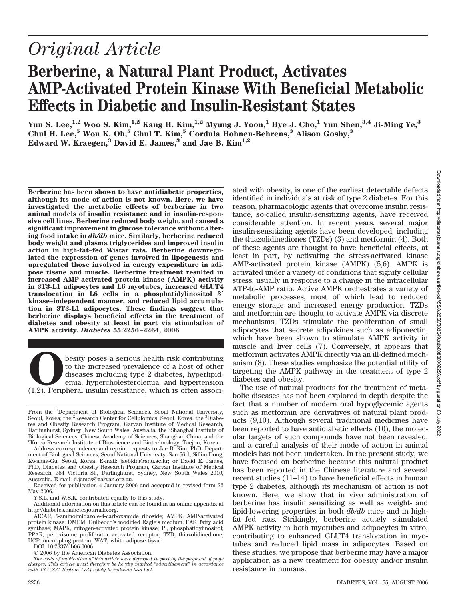# *Original Article*

## **Berberine, a Natural Plant Product, Activates AMP-Activated Protein Kinase With Beneficial Metabolic Effects in Diabetic and Insulin-Resistant States**

**Yun S. Lee,1,2 Woo S. Kim,1,2 Kang H. Kim,1,2 Myung J. Yoon,1 Hye J. Cho,1 Yun Shen,3,4 Ji-Ming Ye,3 Chul H. Lee,5 Won K. Oh,5 Chul T. Kim,5 Cordula Hohnen-Behrens,3 Alison Gosby,3 Edward W. Kraegen,3 David E. James,3 and Jae B. Kim1,2**

**Berberine has been shown to have antidiabetic properties, although its mode of action is not known. Here, we have investigated the metabolic effects of berberine in two animal models of insulin resistance and in insulin-responsive cell lines. Berberine reduced body weight and caused a significant improvement in glucose tolerance without altering food intake in** *db/db* **mice. Similarly, berberine reduced body weight and plasma triglycerides and improved insulin action in high-fat–fed Wistar rats. Berberine downregulated the expression of genes involved in lipogenesis and upregulated those involved in energy expenditure in adipose tissue and muscle. Berberine treatment resulted in increased AMP-activated protein kinase (AMPK) activity in 3T3-L1 adipocytes and L6 myotubes, increased GLUT4 translocation in L6 cells in a phosphatidylinositol 3 kinase–independent manner, and reduced lipid accumulation in 3T3-L1 adipocytes. These findings suggest that berberine displays beneficial effects in the treatment of diabetes and obesity at least in part via stimulation of AMPK activity.** *Diabetes* **55:2256 –2264, 2006**

**O**besity poses a serious health risk contributing<br>to the increased prevalence of a host of other<br>diseases including type 2 diabetes, hyperlipid-<br>emia, hypercholesterolemia, and hypertension<br>(1,2). Peripheral insulin resis to the increased prevalence of a host of other diseases including type 2 diabetes, hyperlipidemia, hypercholesterolemia, and hypertension

From the <sup>1</sup>Department of Biological Sciences, Seoul National University, Seoul, Korea; the <sup>2</sup>Research Center for Cellulomics, Seoul, Korea; the <sup>3</sup>Diabetes and Obesity Research Program, Garvan Institute of Medical Research, Darlinghurst, Sydney, New South Wales, Australia; the <sup>4</sup>Shanghai Institute of Biological Sciences, Chinese Academy of Sciences, Shanghai, China; and the 5 Korea Research Institute of Bioscience and Biotechnology, Taejon, Korea.

Address correspondence and reprint requests to Jae B. Kim, PhD, Department of Biological Sciences, Seoul National University, San 56-1, Sillim-Dong, Kwanak-Gu, Seoul, Korea. E-mail: jaebkim@snu.ac.kr; or David E. James, PhD, Diabetes and Obesity Research Program, Garvan Institute of Medical Research, 384 Victoria St., Darlinghurst, Sydney, New South Wales 2010, Australia. E-mail: d.james@garvan.org.au.

Received for publication 4 January 2006 and accepted in revised form 22 May 2006.

Y.S.L. and W.S.K. contributed equally to this study.

Additional information on this article can be found in an online appendix at http://diabetes.diabetesjournals.org.

AICAR, 5-aminoimidazole-4-carboxamide riboside; AMPK, AMP-activated protein kinase; DMEM, Dulbecco's modified Eagle's medium; FAS, fatty acid synthase; MAPK, mitogen-activated protein kinase; PI, phosphatidylinositol; PPAR, peroxisome proliferator–activated receptor; TZD, thiazolidinedione; UCP, uncoupling protein; WAT, white adipose tissue.

DOI: 10.2337/db06-0006

© 2006 by the American Diabetes Association.

*The costs of publication of this article were defrayed in part by the payment of page charges. This article must therefore be hereby marked "advertisement" in accordance with 18 U.S.C. Section 1734 solely to indicate this fact.*

ated with obesity, is one of the earliest detectable defects identified in individuals at risk of type 2 diabetes. For this reason, pharmacologic agents that overcome insulin resistance, so-called insulin-sensitizing agents, have received considerable attention. In recent years, several major insulin-sensitizing agents have been developed, including the thiazolidinediones (TZDs) (3) and metformin (4). Both of these agents are thought to have beneficial effects, at least in part, by activating the stress-activated kinase AMP-activated protein kinase (AMPK) (5,6). AMPK is activated under a variety of conditions that signify cellular stress, usually in response to a change in the intracellular ATP-to-AMP ratio. Active AMPK orchestrates a variety of metabolic processes, most of which lead to reduced energy storage and increased energy production. TZDs and metformin are thought to activate AMPK via discrete mechanisms; TZDs stimulate the proliferation of small adipocytes that secrete adipokines such as adiponectin, which have been shown to stimulate AMPK activity in muscle and liver cells (7). Conversely, it appears that metformin activates AMPK directly via an ill-defined mechanism (8). These studies emphasize the potential utility of targeting the AMPK pathway in the treatment of type 2 diabetes and obesity.

The use of natural products for the treatment of metabolic diseases has not been explored in depth despite the fact that a number of modern oral hypoglycemic agents such as metformin are derivatives of natural plant products (9,10). Although several traditional medicines have been reported to have antidiabetic effects (10), the molecular targets of such compounds have not been revealed, and a careful analysis of their mode of action in animal models has not been undertaken. In the present study, we have focused on berberine because this natural product has been reported in the Chinese literature and several recent studies (11–14) to have beneficial effects in human type 2 diabetes, although its mechanism of action is not known. Here, we show that in vivo administration of berberine has insulin sensitizing as well as weight- and lipid-lowering properties in both *db/db* mice and in highfat–fed rats. Strikingly, berberine acutely stimulated AMPK activity in both myotubes and adipocytes in vitro, contributing to enhanced GLUT4 translocation in myotubes and reduced lipid mass in adipocytes. Based on these studies, we propose that berberine may have a major application as a new treatment for obesity and/or insulin resistance in humans.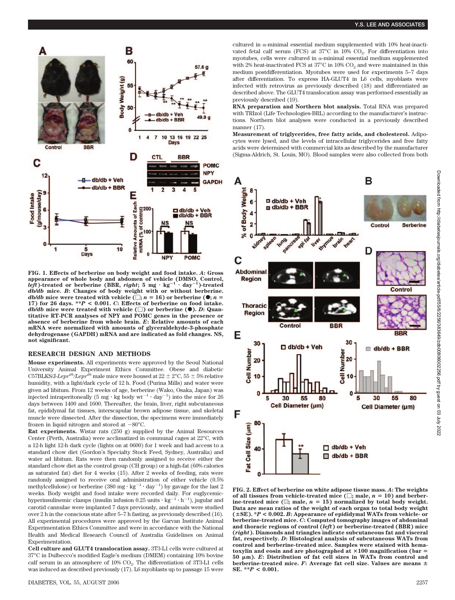

**FIG. 1. Effects of berberine on body weight and food intake.** *A***: Gross appearance of whole body and abdomen of vehicle (DMSO, Control,** *left***)-treated or berberine (BBR,** *right***; 5 mg** - **kg<sup>1</sup>** - **day<sup>1</sup> )-treated** *db/db* **mice.** *B***: Changes of body weight with or without berberine.** *db/db* mice were treated with vehicle  $(\square; n = 16)$  or berberine  $(\bullet; n = 16)$ **17) for 26 days. \*\****P* **< 0.001.** *C***: Effects of berberine on food intake.** *db/db* mice were treated with vehicle  $(\Box)$  or berberine  $(\bullet)$ . *D*: Quan**titative RT-PCR analyses of NPY and POMC genes in the presence or absence of berberine from whole brain.** *E***: Relative amounts of each mRNA were normalized with amounts of glyceraldehyde-3-phosphate dehydrogenase (GAPDH) mRNA and are indicated as fold changes. NS, not significant.**

#### **RESEARCH DESIGN AND METHODS**

**Mouse experiments.** All experiments were approved by the Seoul National University Animal Experiment Ethics Committee. Obese and diabetic C57BLKS/J-*Lepr<sup>db</sup>*/*Lepr<sup>db</sup>* male mice were housed at  $22 \pm 2^{\circ}$ C, 55  $\pm$  5% relative humidity, with a light/dark cycle of 12 h. Food (Purina Mills) and water were given ad libitum. From 12 weeks of age, berberine (Wako, Osaka, Japan) was injected intraperitoneally (5 mg  $\cdot$  kg body  $wt^{-1} \cdot day^{-1}$ ) into the mice for 26 days between 1400 and 1600. Thereafter, the brain, liver, right subcutaneous fat, epididymal fat tissues, interscapular brown adipose tissue, and skeletal muscle were dissected. After the dissection, the specimens were immediately frozen in liquid nitrogen and stored at  $-80^{\circ}$ C.

**Rat experiments.** Wistar rats (250 g) supplied by the Animal Resources Center (Perth, Australia) were acclimatized in communal cages at 22°C, with a 12-h light 12-h dark cycle (lights on at 0600) for 1 week and had access to a standard chow diet (Gordon's Specialty Stock Feed, Sydney, Australia) and water ad libitum. Rats were then randomly assigned to receive either the standard chow diet as the control group (CH group) or a high-fat (60% calories as saturated fat) diet for 4 weeks (15). After 2 weeks of feeding, rats were randomly assigned to receive oral administration of either vehicle (0.5% methylcellulose) or berberine  $(380 \text{ mg} \cdot \text{kg}^{-1} \cdot \text{day}^{-1})$  by gavage for the last 2 weeks. Body weight and food intake were recorded daily. For euglycemichyperinsulinemic clamps (insulin infusion  $0.25$  units  $\cdot$  kg<sup>-1</sup>  $\cdot$  h<sup>-1</sup>), jugular and carotid cannulae were implanted 7 days previously, and animals were studied over 2 h in the conscious state after 5–7 h fasting, as previously described (16). All experimental procedures were approved by the Garvan Institute Animal Experimentation Ethics Committee and were in accordance with the National Health and Medical Research Council of Australia Guidelines on Animal Experimentation.

**Cell culture and GLUT4 translocation assay.** 3T3-L1 cells were cultured at 37°C in Dulbecco's modified Eagle's medium (DMEM) containing 10% bovine calf serum in an atmosphere of 10% CO<sub>2</sub>. The differentiation of 3T3-L1 cells was induced as described previously (17). L6 myoblasts up to passage 15 were cultured in  $\alpha$ -minimal essential medium supplemented with 10% heat-inactivated fetal calf serum (FCS) at  $37^{\circ}$ C in 10% CO<sub>2</sub>. For differentiation into myotubes, cells were cultured in  $\alpha$ -minimal essential medium supplemented with 2% heat-inactivated FCS at  $37^{\circ}$ C in 10% CO<sub>2</sub> and were maintained in this medium postdifferentiation. Myotubes were used for experiments 5–7 days after differentiation. To express HA-GLUT4 in L6 cells, myoblasts were infected with retrovirus as previously described (18) and differentiated as described above. The GLUT4 translocation assay was performed essentially as previously described (19).

**RNA preparation and Northern blot analysis.** Total RNA was prepared with TRIzol (Life Technologies-BRL) according to the manufacturer's instructions. Northern blot analyses were conducted in a previously described manner (17).

**Measurement of triglycerides, free fatty acids, and cholesterol.** Adipocytes were lysed, and the levels of intracellular triglycerides and free fatty acids were determined with commercial kits as described by the manufacturer (Sigma-Aldrich, St. Louis, MO). Blood samples were also collected from both



**FIG. 2. Effect of berberine on white adipose tissue mass.** *A***: The weights** of all tissues from vehicle-treated mice  $(\Box;$  male,  $n = 10)$  and berberine-treated mice  $(\equiv;$  male,  $n = 15)$  normalized by total body weight. **Data are mean ratios of the weight of each organ to total body weight (SE). \****P* **< 0.002.** *B***: Appearance of epididymal WATs from vehicle- or berberine-treated mice.** *C***: Computed tomography images of abdominal and thoracic regions of control (***left***) or berberine-treated (BBR) mice (***right***). Diamonds and triangles indicate subcutaneous fat and visceral fat, respectively.** *D***: Histological analysis of subcutaneous WATs from control and berberine-treated mice. Samples were stained with hematoxylin and eosin and are photographed at 100 magnification (bar** - **50 m).** *E***: Distribution of fat cell sizes in WATs from control and berberine-treated mice.** *F***: Average fat cell size. Values are means SE. \*\****P* **< 0.001.**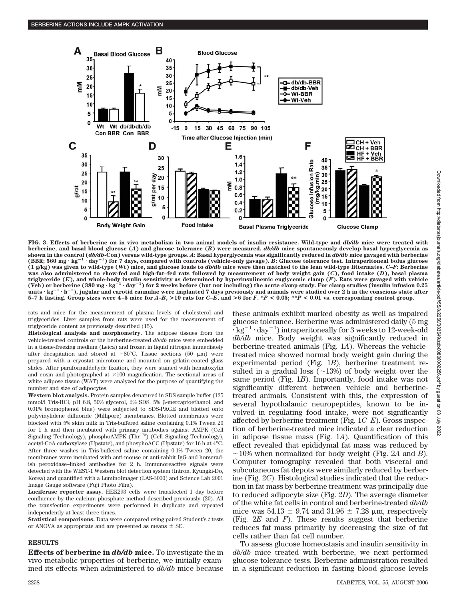

**FIG. 3. Effects of berberine on in vivo metabolism in two animal models of insulin resistance. Wild-type and** *db/db* **mice were treated with berberine, and basal blood glucose (***A***) and glucose tolerance (***B***) were measured.** *db/db* **mice spontaneously develop basal hyperglycemia as shown in the control (***db/db***-Con) versus wild-type groups.** *A***: Basal hyperglycemia was significantly reduced in** *db/db* **mice gavaged with berberine (BBR; 560 mg** - **kg<sup>1</sup>** - **day<sup>1</sup> ) for 7 days, compared with controls (vehicle-only gavage).** *B***: Glucose tolerance test. Intraperitoneal bolus glucose (1 g/kg) was given to wild-type (Wt) mice, and glucose loads to** *db/db* **mice were then matched to the lean wild-type littermates.** *C–F***: Berberine was also administered to chow-fed and high-fat–fed rats followed by measurement of body weight gain (***C***), food intake (***D***), basal plasma triglyceride (***E***), and whole-body insulin sensitivity as determined by hyperinsulinemic euglycemic clamp (***F***). Rats were gavaged with vehicle (Veh) or berberine (380 mg** - **kg<sup>1</sup>** - **day<sup>1</sup> ) for 2 weeks before (but not including) the acute clamp study. For clamp studies (insulin infusion 0.25 units** - **kg<sup>1</sup>** - **h<sup>1</sup> ), jugular and carotid cannulae were implanted 7 days previously and animals were studied over 2 h in the conscious state after** 5-7 h fasting. Group sizes were 4-5 mice for A-B, >10 rats for C-E, and >6 for F. \*P < 0.05; \*\*P < 0.01 vs. corresponding control group.

rats and mice for the measurement of plasma levels of cholesterol and triglycerides. Liver samples from rats were used for the measurement of triglyceride content as previously described (15).

**Histological analysis and morphometry.** The adipose tissues from the vehicle-treated controls or the berberine-treated *db/db* mice were embedded in a tissue-freezing medium (Leica) and frozen in liquid nitrogen immediately after decapitation and stored at  $-80^{\circ}$ C. Tissue sections (50  $\mu$ m) were prepared with a cryostat microtome and mounted on gelatin-coated glass slides. After paraformaldehyde fixation, they were stained with hematoxylin and eosin and photographed at  $\times 100$  magnification. The sectional areas of white adipose tissue (WAT) were analyzed for the purpose of quantifying the number and size of adipocytes.

**Western blot analysis.** Protein samples denatured in SDS sample buffer (125 mmol/l Tris-HCl, pH 6.8, 50% glycerol, 2% SDS, 5%  $\beta$ -mercaptoethanol, and 0.01% bromophenol blue) were subjected to SDS-PAGE and blotted onto polyvinylidene difluoride (Millipore) membranes. Blotted membranes were blocked with 5% skim milk in Tris-buffered saline containing 0.1% Tween 20 for 1 h and then incubated with primary antibodies against AMPK (Cell Signaling Technology), phosphoAMPK (Thr<sup>172</sup>) (Cell Signaling Technology), acetyl-CoA carboxylase (Upstate), and phosphoACC (Upstate) for 16 h at 4°C. After three washes in Tris-buffered saline containing 0.1% Tween 20, the membranes were incubated with anti-mouse or anti-rabbit IgG and horseradish peroxidase–linked antibodies for 2 h. Immunoreactive signals were detected with the WEST-1 Western blot detection system (Intron, Kyungki-Do, Korea) and quantified with a LuminoImager (LAS-3000) and Science Lab 2001 Image Gauge software (Fuji Photo Film).

**Luciferase reporter assay.** HEK293 cells were transfected 1 day before confluence by the calcium phosphate method described previously (20). All the transfection experiments were performed in duplicate and repeated independently at least three times.

**Statistical comparisons.** Data were compared using paired Student's *t* tests or ANOVA as appropriate and are presented as means  $\pm$  SE.

#### **RESULTS**

**Effects of berberine in** *db/db* **mice.** To investigate the in vivo metabolic properties of berberine, we initially examined its effects when administered to *db/db* mice because these animals exhibit marked obesity as well as impaired glucose tolerance. Berberine was administered daily (5 mg  $\cdot$  kg<sup>-1</sup> $\cdot$  day<sup>-1</sup>) intraperitoneally for 3 weeks to 12-week-old *db/db* mice. Body weight was significantly reduced in berberine-treated animals (Fig. 1*A*). Whereas the vehicletreated mice showed normal body weight gain during the experimental period (Fig. 1*B*), berberine treatment resulted in a gradual loss  $\left(\sim 13\right)$  of body weight over the same period (Fig. 1*B*). Importantly, food intake was not significantly different between vehicle and berberinetreated animals. Consistent with this, the expression of several hypothalamic neuropeptides, known to be involved in regulating food intake, were not significantly affected by berberine treatment (Fig. 1*C–E*). Gross inspection of berberine-treated mice indicated a clear reduction in adipose tissue mass (Fig. 1*A*). Quantification of this effect revealed that epididymal fat mass was reduced by  $\sim$ 10% when normalized for body weight (Fig. 2A and *B*). Computer tomography revealed that both visceral and subcutaneous fat depots were similarly reduced by berberine (Fig. 2*C*). Histological studies indicated that the reduction in fat mass by berberine treatment was principally due to reduced adipocyte size (Fig. 2*D*). The average diameter of the white fat cells in control and berberine-treated *db/db* mice was  $54.13 \pm 9.74$  and  $31.96 \pm 7.28$  µm, respectively (Fig. 2*E* and *F*). These results suggest that berberine reduces fat mass primarily by decreasing the size of fat cells rather than fat cell number.

To assess glucose homeostasis and insulin sensitivity in *db/db* mice treated with berberine, we next performed glucose tolerance tests. Berberine administration resulted in a significant reduction in fasting blood glucose levels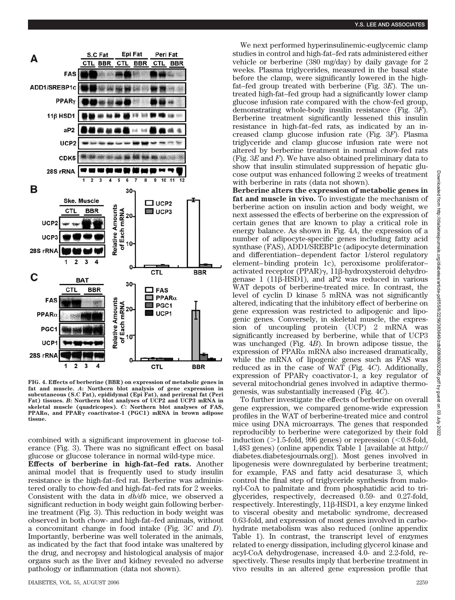

**FIG. 4. Effects of berberine (BBR) on expression of metabolic genes in fat and muscle.** *A***: Northern blot analysis of gene expression in subcutaneous (S.C Fat), epididymal (Epi Fat), and perirenal fat (Peri Fat) tissues.** *B***: Northern blot analyses of UCP2 and UCP3 mRNA in skeletal muscle (quadricopes).** *C***: Northern blot analyses of FAS, PPAR, and PPAR coactivator-1 (PGC1) mRNA in brown adipose tissue.**

combined with a significant improvement in glucose tolerance (Fig. 3). There was no significant effect on basal glucose or glucose tolerance in normal wild-type mice.

**Effects of berberine in high-fat–fed rats.** Another animal model that is frequently used to study insulin resistance is the high-fat–fed rat. Berberine was administered orally to chow-fed and high-fat–fed rats for 2 weeks. Consistent with the data in *db/db* mice, we observed a significant reduction in body weight gain following berberine treatment (Fig. 3). This reduction in body weight was observed in both chow- and high-fat–fed animals, without a concomitant change in food intake (Fig. 3*C* and *D*). Importantly, berberine was well tolerated in the animals, as indicated by the fact that food intake was unaltered by the drug, and necropsy and histological analysis of major organs such as the liver and kidney revealed no adverse pathology or inflammation (data not shown).

We next performed hyperinsulinemic-euglycemic clamp studies in control and high-fat–fed rats administered either vehicle or berberine (380 mg/day) by daily gavage for 2 weeks. Plasma triglycerides, measured in the basal state before the clamp, were significantly lowered in the highfat–fed group treated with berberine (Fig. 3*E*). The untreated high-fat–fed group had a significantly lower clamp glucose infusion rate compared with the chow-fed group, demonstrating whole-body insulin resistance (Fig. 3*F*). Berberine treatment significantly lessened this insulin resistance in high-fat–fed rats, as indicated by an increased clamp glucose infusion rate (Fig. 3*F*). Plasma triglyceride and clamp glucose infusion rate were not altered by berberine treatment in normal chow-fed rats (Fig. 3*E* and *F*). We have also obtained preliminary data to show that insulin stimulated suppression of hepatic glucose output was enhanced following 2 weeks of treatment with berberine in rats (data not shown).

**Berberine alters the expression of metabolic genes in fat and muscle in vivo.** To investigate the mechanism of berberine action on insulin action and body weight, we next assessed the effects of berberine on the expression of certain genes that are known to play a critical role in energy balance. As shown in Fig. 4*A*, the expression of a number of adipocyte-specific genes including fatty acid synthase (FAS), ADD1/SREBP1c (adipocyte determination and differentiation– dependent factor 1/sterol regulatory element– binding protein 1c), peroxisome proliferator– activated receptor (PPAR) $\gamma$ , 11 $\beta$ -hydroxysteroid dehydrogenase  $1$  (11 $\beta$ -HSD1), and aP2 was reduced in various WAT depots of berberine-treated mice. In contrast, the level of cyclin D kinase 5 mRNA was not significantly altered, indicating that the inhibitory effect of berberine on gene expression was restricted to adipogenic and lipogenic genes. Conversely, in skeletal muscle, the expression of uncoupling protein (UCP) 2 mRNA was significantly increased by berberine, while that of UCP3 was unchanged (Fig. 4*B*). In brown adipose tissue, the expression of PPAR $\alpha$  mRNA also increased dramatically, while the mRNA of lipogenic genes such as FAS was reduced as in the case of WAT (Fig. 4*C*). Additionally, expression of PPAR $\gamma$  coactivator-1, a key regulator of several mitochondrial genes involved in adaptive thermogenesis, was substantially increased (Fig. 4*C*).

To further investigate the effects of berberine on overall gene expression, we compared genome-wide expression profiles in the WAT of berberine-treated mice and control mice using DNA microarrays. The genes that responded reproducibly to berberine were categorized by their fold induction  $($  >1.5-fold, 996 genes) or repression  $($  <0.8-fold, 1,483 genes) (online appendix Table 1 [available at http:// diabetes.diabetesjournals.org]). Most genes involved in lipogenesis were downregulated by berberine treatment; for example, FAS and fatty acid desaturase 3, which control the final step of triglyceride synthesis from malonyl-CoA to palmitate and from phosphatidic acid to triglycerides, respectively, decreased 0.59- and 0.27-fold, respectively. Interestingly,  $11\beta$ -HSD1, a key enzyme linked to visceral obesity and metabolic syndrome, decreased 0.63-fold, and expression of most genes involved in carbohydrate metabolism was also reduced (online appendix Table 1). In contrast, the transcript level of enzymes related to energy dissipation, including glycerol kinase and acyl-CoA dehydrogenase, increased 4.0- and 2.2-fold, respectively. These results imply that berberine treatment in vivo results in an altered gene expression profile that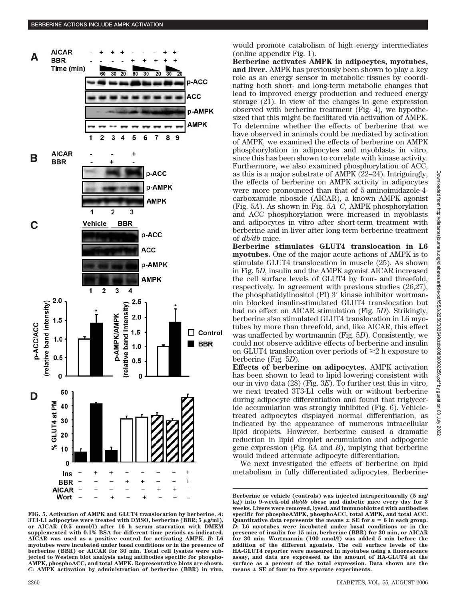

**FIG. 5. Activation of AMPK and GLUT4 translocation by berberine.** *A***: 3T3-L1 adipocytes were treated with DMSO, berberine (BBR; 5 g/ml), or AICAR (0.5 mmol/l) after 16 h serum starvation with DMEM supplemented with 0.1% BSA for different time periods as indicated. AICAR was used as a positive control for activating AMPK.** *B***: L6 myotubes were incubated under basal conditions or in the presence of berberine (BBR) or AICAR for 30 min. Total cell lysates were subjected to Western blot analysis using antibodies specific for phospho-AMPK, phosphoACC, and total AMPK. Representative blots are shown.** *C***: AMPK activation by administration of berberine (BBR) in vivo.**

would promote catabolism of high energy intermediates (online appendix Fig. 1).

**Berberine activates AMPK in adipocytes, myotubes, and liver.** AMPK has previously been shown to play a key role as an energy sensor in metabolic tissues by coordinating both short- and long-term metabolic changes that lead to improved energy production and reduced energy storage (21). In view of the changes in gene expression observed with berberine treatment (Fig. 4), we hypothesized that this might be facilitated via activation of AMPK. To determine whether the effects of berberine that we have observed in animals could be mediated by activation of AMPK, we examined the effects of berberine on AMPK phosphorylation in adipocytes and myoblasts in vitro, since this has been shown to correlate with kinase activity. Furthermore, we also examined phosphorylation of ACC, as this is a major substrate of AMPK (22–24). Intriguingly, the effects of berberine on AMPK activity in adipocytes were more pronounced than that of 5-aminoimidazole-4 carboxamide riboside (AICAR), a known AMPK agonist (Fig. 5*A*). As shown in Fig. *5A–C*, AMPK phosphorylation and ACC phosphorylation were increased in myoblasts and adipocytes in vitro after short-term treatment with berberine and in liver after long-term berberine treatment of *db/db* mice.

**Berberine stimulates GLUT4 translocation in L6 myotubes.** One of the major acute actions of AMPK is to stimulate GLUT4 translocation in muscle (25). As shown in Fig. 5*D*, insulin and the AMPK agonist AICAR increased the cell surface levels of GLUT4 by four- and threefold, respectively. In agreement with previous studies (26,27), the phosphatidylinositol  $(PI)$  3' kinase inhibitor wortmannin blocked insulin-stimulated GLUT4 translocation but had no effect on AICAR stimulation (Fig. 5*D*). Strikingly, berberine also stimulated GLUT4 translocation in L6 myotubes by more than threefold, and, like AICAR, this effect was unaffected by wortmannin (Fig. 5*D*). Consistently, we could not observe additive effects of berberine and insulin on GLUT4 translocation over periods of  $\geq 2$  h exposure to berberine (Fig. 5*D*).

**Effects of berberine on adipocytes.** AMPK activation has been shown to lead to lipid lowering consistent with our in vivo data (28) (Fig. 3*E*). To further test this in vitro, we next treated 3T3-L1 cells with or without berberine during adipocyte differentiation and found that triglyceride accumulation was strongly inhibited (Fig. 6). Vehicletreated adipocytes displayed normal differentiation, as indicated by the appearance of numerous intracellular lipid droplets. However, berberine caused a dramatic reduction in lipid droplet accumulation and adipogenic gene expression (Fig. 6*A* and *B*), implying that berberine would indeed attenuate adipocyte differentiation.

We next investigated the effects of berberine on lipid metabolism in fully differentiated adipocytes. Berberine-

**Berberine or vehicle (controls) was injected intraperitoneally (5 mg/ kg) into 9-week-old** *db/db* **obese and diabetic mice every day for 3 weeks. Livers were removed, lysed, and immunoblotted with antibodies specific for phosphoAMPK, phosphoACC, total AMPK, and total ACC.** Quantitative data represents the means  $\pm$  SE for  $n = 6$  in each group. *D***: L6 myotubes were incubated under basal conditions or in the presence of insulin for 15 min, berberine (BBR) for 30 min, or AICAR for 30 min. Wortmannin (100 nmol/l) was added 5 min before the addition of the different agonists. The cell surface levels of the HA-GLUT4 reporter were measured in myotubes using a fluorescence assay, and data are expressed as the amount of HA-GLUT4 at the surface as a percent of the total expression. Data shown are the means SE of four to five separate experiments.**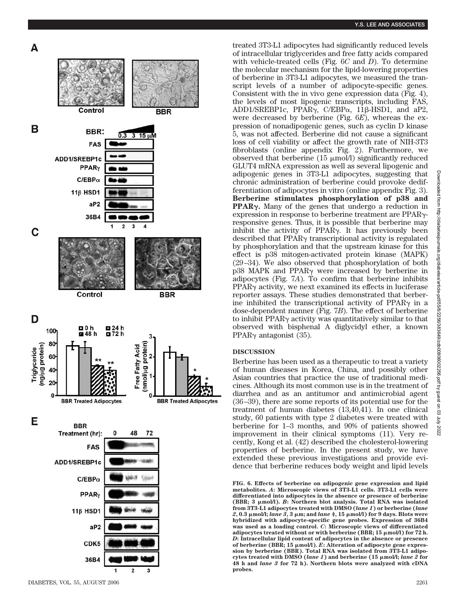

treated 3T3-L1 adipocytes had significantly reduced levels of intracellular triglycerides and free fatty acids compared with vehicle-treated cells (Fig. 6 *C* and *D*). To determine the molecular mechanism for the lipid-lowering properties of berberine in 3T3-L1 adipocytes, we measured the transcript levels of a number of adipocyte-specific genes. Consistent with the in vivo gene expression data (Fig. 4), the levels of most lipogenic transcripts, including FAS, ADD1/SREBP1c, PPARγ, C/EBPα, 11β-HSD1, and aP2, were decreased by berberine (Fig. 6*E*), whereas the expression of nonadipogenic genes, such as cyclin D kinase 5, was not affected. Berberine did not cause a significant loss of cell viability or affect the growth rate of NIH-3T3 fibroblasts (online appendix Fig. 2). Furthermore, we observed that berberine  $(15 \mu \text{mol/l})$  significantly reduced GLUT4 mRNA expression as well as several lipogenic and adipogenic genes in 3T3-L1 adipocytes, suggesting that chronic administration of berberine could provoke dedifferentiation of adipocytes in vitro (online appendix Fig. 3). **Berberine stimulates phosphorylation of p38 and** PPAR<sub>Y</sub>. Many of the genes that undergo a reduction in expression in response to berberine treatment are PPAR<sub>Y</sub>responsive genes. Thus, it is possible that berberine may inhibit the activity of PPAR . It has previously been described that PPAR<sub>Y</sub> transcriptional activity is regulated by phosphorylation and that the upstream kinase for this effect is p38 mitogen-activated protein kinase (MAPK) (29 –34). We also observed that phosphorylation of both p38 MAPK and PPAR were increased by berberine in adipocytes (Fig. 7*A*). To confirm that berberine inhibits PPAR<sub>Y</sub> activity, we next examined its effects in luciferase reporter assays. These studies demonstrated that berberine inhibited the transcriptional activity of PPAR $\gamma$  in a dose-dependent manner (Fig. 7*B*). The effect of berberine to inhibit PPAR activity was quantitatively similar to that observed with bisphenal A diglycidyl ether, a known PPAR $\gamma$  antagonist (35).

## **DISCUSSION**

Berberine has been used as a therapeutic to treat a variety of human diseases in Korea, China, and possibly other Asian countries that practice the use of traditional medicines. Although its most common use is in the treatment of diarrhea and as an antitumor and antimicrobial agent (36 –39), there are some reports of its potential use for the treatment of human diabetes (13,40,41). In one clinical study, 60 patients with type 2 diabetes were treated with berberine for 1–3 months, and 90% of patients showed improvement in their clinical symptoms (11). Very recently, Kong et al. (42) described the cholesterol-lowering properties of berberine. In the present study, we have extended these previous investigations and provide evidence that berberine reduces body weight and lipid levels

**FIG. 6. Effects of berberine on adipogenic gene expression and lipid metabolites.** *A***: Microscopic views of 3T3-L1 cells. 3T3-L1 cells were differentiated into adipocytes in the absence or presence of berberine (BBR; 3 mol/l).** *B***: Northern blot analysis. Total RNA was isolated from 3T3-L1 adipocytes treated with DMSO (***lane 1***) or berberine (***lane 2***, 0.3 mol/l;** *lane 3***, 3 m; and** *lane 4***, 15 mol/l) for 9 days. Blots were hybridized with adipocyte-specific gene probes. Expression of 36B4 was used as a loading control.** *C***: Microscopic views of differentiated adipocytes treated without or with berberine (BBR; 15 mol/l) for 72 h.** *D***: Intracellular lipid content of adipocytes in the absence or presence of berberine (BBR; 15 mol/l).** *E***: Alteration of adipocyte gene expression by berberine (BBR). Total RNA was isolated from 3T3-L1 adipocytes treated with DMSO (***lane 1***) and berberine (15 mol/l;** *lane 2* **for 48 h and** *lane 3* **for 72 h). Northern blots were analyzed with cDNA probes.**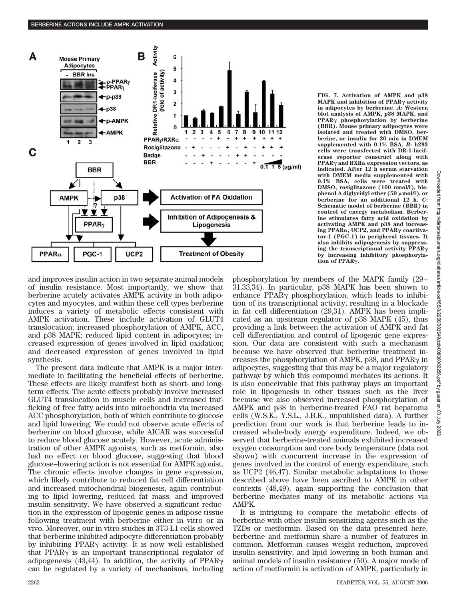

**FIG. 7. Activation of AMPK and p38 MAPK** and inhibition of PPARγ activity **in adipocytes by berberine.** *A***: Western blot analysis of AMPK, p38 MAPK, and PPAR phosphorylation by berberine (BBR). Mouse primary adipocytes were isolated and treated with DMSO, berberine, or insulin for 20 min in DMEM supplemented with 0.1% BSA.** *B***: h293 cells were transfected with DR-1-luciferase reporter construct along with PPAR and RXR expression vectors, as indicated. After 12 h serum starvation with DMEM media supplemented with 0.1% BSA, cells were treated with DMSO, rosiglitazone (100 nmol/l), bisphenol A diglycidyl ether (50 mol/l), or berberine for an additional 12 h.** *C***: Schematic model of berberine (BBR) in control of energy metabolism. Berberine stimulates fatty acid oxidation by activating AMPK and p38 and increasing PPAR, UCP2, and PPAR coactivator-1 (PGC-1) in peripheral tissues. It also inhibits adipogenesis by suppressing the transcriptional activity PPAR by increasing inhibitory phosphorylation of PPAR.**

and improves insulin action in two separate animal models of insulin resistance. Most importantly, we show that berberine acutely activates AMPK activity in both adipocytes and myocytes, and within these cell types berberine induces a variety of metabolic effects consistent with AMPK activation. These include activation of GLUT4 translocation; increased phosphorylation of AMPK, ACC, and p38 MAPK; reduced lipid content in adipocytes; increased expression of genes involved in lipid oxidation; and decreased expression of genes involved in lipid synthesis.

The present data indicate that AMPK is a major intermediate in facilitating the beneficial effects of berberine. These effects are likely manifest both as short- and longterm effects. The acute effects probably involve increased GLUT4 translocation in muscle cells and increased trafficking of free fatty acids into mitochondria via increased ACC phosphorylation, both of which contribute to glucose and lipid lowering. We could not observe acute effects of berberine on blood glucose, while AICAR was successful to reduce blood glucose acutely. However, acute administration of other AMPK agonists, such as metformin, also had no effect on blood glucose, suggesting that blood glucose–lowering action is not essential for AMPK agonist. The chronic effects involve changes in gene expression, which likely contribute to reduced fat cell differentiation and increased mitochondrial biogenesis, again contributing to lipid lowering, reduced fat mass, and improved insulin sensitivity. We have observed a significant reduction in the expression of lipogenic genes in adipose tissue following treatment with berberine either in vitro or in vivo. Moreover, our in vitro studies in 3T3-L1 cells showed that berberine inhibited adipocyte differentiation probably by inhibiting  $PPAR<sub>\gamma</sub>$  activity. It is now well established that PPAR $\gamma$  is an important transcriptional regulator of adipogenesis (43,44). In addition, the activity of  $PPAR<sub>\gamma</sub>$ can be regulated by a variety of mechanisms, including phosphorylation by members of the MAPK family (29 – 31,33,34). In particular, p38 MAPK has been shown to enhance  $PPAR\gamma$  phosphorylation, which leads to inhibition of its transcriptional activity, resulting in a blockade in fat cell differentiation (29,31). AMPK has been implicated as an upstream regulator of p38 MAPK (45), thus providing a link between the activation of AMPK and fat cell differentiation and control of lipogenic gene expression. Our data are consistent with such a mechanism because we have observed that berberine treatment increases the phosphorylation of AMPK, p38, and PPAR $\gamma$  in adipocytes, suggesting that this may be a major regulatory pathway by which this compound mediates its actions. It is also conceivable that this pathway plays an important role in lipogenesis in other tissues such as the liver because we also observed increased phosphorylation of AMPK and p38 in berberine-treated FAO rat hepatoma cells (W.S.K., Y.S.L., J.B.K., unpublished data). A further prediction from our work is that berberine leads to increased whole-body energy expenditure. Indeed, we observed that berberine-treated animals exhibited increased oxygen consumption and core body temperature (data not shown) with concurrent increase in the expression of genes involved in the control of energy expenditure, such as UCP2 (46,47). Similar metabolic adaptations to those described above have been ascribed to AMPK in other contexts (48,49), again supporting the conclusion that berberine mediates many of its metabolic actions via AMPK.

It is intriguing to compare the metabolic effects of berberine with other insulin-sensitizing agents such as the TZDs or metformin. Based on the data presented here, berberine and metformin share a number of features in common. Metformin causes weight reduction, improved insulin sensitivity, and lipid lowering in both human and animal models of insulin resistance (50). A major mode of action of metformin is activation of AMPK, particularly in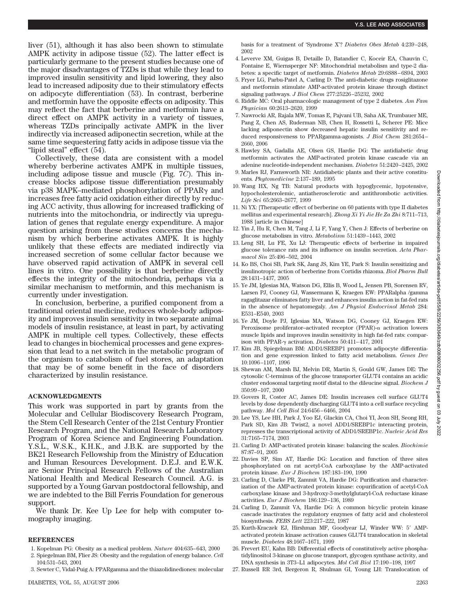liver (51), although it has also been shown to stimulate AMPK activity in adipose tissue (52). The latter effect is particularly germane to the present studies because one of the major disadvantages of TZDs is that while they lead to improved insulin sensitivity and lipid lowering, they also lead to increased adiposity due to their stimulatory effects on adipocyte differentiation (53). In contrast, berberine and metformin have the opposite effects on adiposity. This may reflect the fact that berberine and metformin have a direct effect on AMPK activity in a variety of tissues, whereas TZDs principally activate AMPK in the liver indirectly via increased adiponectin secretion, while at the same time sequestering fatty acids in adipose tissue via the "lipid steal" effect (54).

Collectively, these data are consistent with a model whereby berberine activates AMPK in multiple tissues, including adipose tissue and muscle (Fig. 7*C*). This increase blocks adipose tissue differentiation presumably via p38 MAPK–mediated phosphorylation of PPAR $\gamma$  and increases free fatty acid oxidation either directly by reducing ACC activity, thus allowing for increased trafficking of nutrients into the mitochondria, or indirectly via upregulation of genes that regulate energy expenditure. A major question arising from these studies concerns the mechanism by which berberine activates AMPK. It is highly unlikely that these effects are mediated indirectly via increased secretion of some cellular factor because we have observed rapid activation of AMPK in several cell lines in vitro. One possibility is that berberine directly effects the integrity of the mitochondria, perhaps via a similar mechanism to metformin, and this mechanism is currently under investigation.

In conclusion, berberine, a purified component from a traditional oriental medicine, reduces whole-body adiposity and improves insulin sensitivity in two separate animal models of insulin resistance, at least in part, by activating AMPK in multiple cell types. Collectively, these effects lead to changes in biochemical processes and gene expression that lead to a net switch in the metabolic program of the organism to catabolism of fuel stores, an adaptation that may be of some benefit in the face of disorders characterized by insulin resistance.

## **ACKNOWLEDGMENTS**

This work was supported in part by grants from the Molecular and Cellular Biodiscovery Research Program, the Stem Cell Research Center of the 21st Century Frontier Research Program, and the National Research Laboratory Program of Korea Science and Engineering Foundation. Y.S.L., W.S.K., K.H.K., and J.B.K. are supported by the BK21 Research Fellowship from the Ministry of Education and Human Resources Development. D.E.J. and E.W.K. are Senior Principal Research Fellows of the Australian National Health and Medical Research Council. A.G. is supported by a Young Garvan postdoctoral fellowship, and we are indebted to the Bill Ferris Foundation for generous support.

We thank Dr. Kee Up Lee for help with computer tomography imaging.

### **REFERENCES**

- 1. Kopelman PG: Obesity as a medical problem. *Nature* 404:635– 643, 2000
- 2. Spiegelman BM, Flier JS: Obesity and the regulation of energy balance. *Cell* 104:531–543, 2001
- 3. Sewter C, Vidal-Puig A: PPARgamma and the thiazolidinediones: molecular

basis for a treatment of 'Syndrome X'? *Diabetes Obes Metab* 4:239 –248, 2002

- 4. Leverve XM, Guigas B, Detaille D, Batandier C, Koceir EA, Chauvin C, Fontaine E, Wiernsperger NF: Mitochondrial metabolism and type-2 diabetes: a specific target of metformin. *Diabetes Metab* 29:6S88 – 6S94, 2003
- 5. Fryer LG, Parbu-Patel A, Carling D: The anti-diabetic drugs rosiglitazone and metformin stimulate AMP-activated protein kinase through distinct signaling pathways. *J Biol Chem* 277:25226 –25232, 2002
- 6. Riddle MC: Oral pharmacologic management of type 2 diabetes. *Am Fam Physician* 60:2613–2620, 1999
- 7. Nawrocki AR, Rajala MW, Tomas E, Pajvani UB, Saha AK, Trumbauer ME, Pang Z, Chen AS, Ruderman NB, Chen H, Rossetti L, Scherer PE: Mice lacking adiponectin show decreased hepatic insulin sensitivity and reduced responsiveness to PPARgamma-agonists. *J Biol Chem* 281:2654 – 2660, 2006
- 8. Hawley SA, Gadalla AE, Olsen GS, Hardie DG: The antidiabetic drug metformin activates the AMP-activated protein kinase cascade via an adenine nucleotide-independent mechanism. *Diabetes* 51:2420 –2425, 2002
- 9. Marles RJ, Farnsworth NR: Antidiabetic plants and their active constituents*. Phytomedicine* 2:137–189, 1995
- 10. Wang HX, Ng TB: Natural products with hypoglycemic, hypotensive, hypocholesterolemic, antiatherosclerotic and antithrombotic activities. *Life Sci* 65:2663–2677, 1999
- 11. Ni YX: [Therapeutic effect of berberine on 60 patients with type II diabetes mellitus and experimental research]. *Zhong Xi Yi Jie He Za Zhi* 8:711–713, 1988 [article in Chinese]
- 12. Yin J, Hu R, Chen M, Tang J, Li F, Yang Y, Chen J: Effects of berberine on glucose metabolism in vitro. *Metabolism* 51:1439 –1443, 2002
- 13. Leng SH, Lu FE, Xu LJ: Therapeutic effects of berberine in impaired glucose tolerance rats and its influence on insulin secretion. *Acta Pharmacol Sin* 25:496 –502, 2004
- 14. Ko BS, Choi SB, Park SK, Jang JS, Kim YE, Park S: Insulin sensitizing and insulinotropic action of berberine from Cortidis rhizoma. *Biol Pharm Bull* 28:1431–1437, 2005
- 15. Ye JM, Iglesias MA, Watson DG, Ellis B, Wood L, Jensen PB, Sorensen RV, Larsen PJ, Cooney GJ, Wassermann K, Kraegen EW: PPARalpha /gamma ragaglitazar eliminates fatty liver and enhances insulin action in fat-fed rats in the absence of hepatomegaly. *Am J Physiol Endocrinol Metab* 284: E531–E540, 2003
- 16. Ye JM, Doyle PJ, Iglesias MA, Watson DG, Cooney GJ, Kraegen EW: Peroxisome proliferator–activated receptor (PPAR)- $\alpha$  activation lowers muscle lipids and improves insulin sensitivity in high fat-fed rats: comparison with PPAR-γ activation. *Diabetes* 50:411-417, 2001
- 17. Kim JB, Spiegelman BM: ADD1/SREBP1 promotes adipocyte differentiation and gene expression linked to fatty acid metabolism. *Genes Dev* 10:1096 –1107, 1996
- 18. Shewan AM, Marsh BJ, Melvin DR, Martin S, Gould GW, James DE: The cytosolic C-terminus of the glucose transporter GLUT4 contains an acidic cluster endosomal targeting motif distal to the dileucine signal. *Biochem J* 350:99 –107, 2000
- 19. Govers R, Coster AC, James DE: Insulin increases cell surface GLUT4 levels by dose dependently discharging GLUT4 into a cell surface recycling pathway. *Mol Cell Biol* 24:6456 – 6466, 2004
- 20. Lee YS, Lee HH, Park J, Yoo EJ, Glackin CA, Choi YI, Jeon SH, Seong RH, Park SD, Kim JB: Twist2, a novel ADD1/SREBP1c interacting protein, represses the transcriptional activity of ADD1/SREBP1c. *Nucleic Acid Res* 31:7165–7174, 2003
- 21. Carling D: AMP-activated protein kinase: balancing the scales. *Biochimie* 87:87–91, 2005
- 22. Davies SP, Sim AT, Hardie DG: Location and function of three sites phosphorylated on rat acetyl-CoA carboxylase by the AMP-activated protein kinase. *Eur J Biochem* 187:183–190, 1990
- 23. Carling D, Clarke PR, Zammit VA, Hardie DG: Purification and characterization of the AMP-activated protein kinase: copurification of acetyl-CoA carboxylase kinase and 3-hydroxy-3-methylglutaryl-CoA reductase kinase activities. *Eur J Biochem* 186:129 –136, 1989
- 24. Carling D, Zammit VA, Hardie DG: A common bicyclic protein kinase cascade inactivates the regulatory enzymes of fatty acid and cholesterol biosynthesis. *FEBS Lett* 223:217–222, 1987
- 25. Kurth-Kraczek EJ, Hirshman MF, Goodyear LJ, Winder WW: 5' AMPactivated protein kinase activation causes GLUT4 translocation in skeletal muscle. *Diabetes* 48:1667–1671, 1999
- 26. Frevert EU, Kahn BB: Differential effects of constitutively active phosphatidylinositol 3-kinase on glucose transport, glycogen synthase activity, and DNA synthesis in 3T3–L1 adipocytes. *Mol Cell Biol* 17:190 –198, 1997
- 27. Russell RR 3rd, Bergeron R, Shulman GI, Young LH: Translocation of